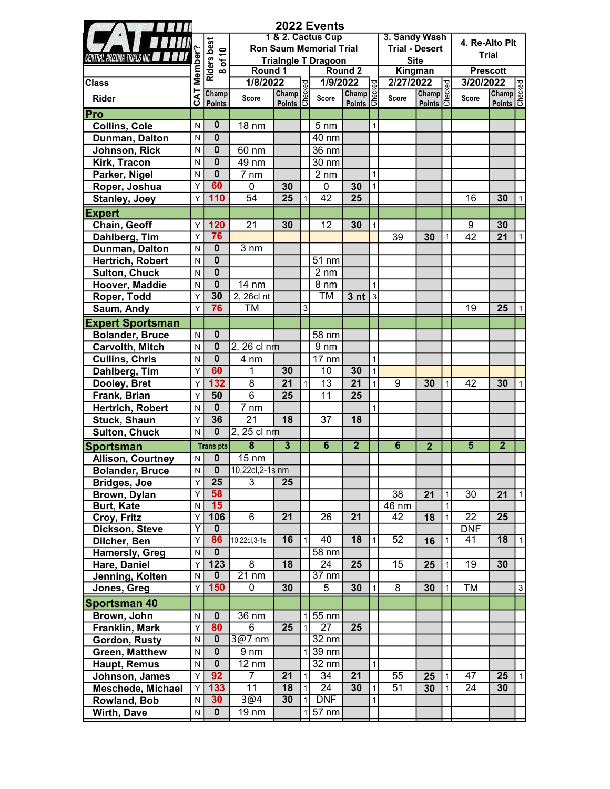|                                    |                     |                                           |                                    |                                                                                                                                                            |                | 2022 Events                    |                                             |                |                       |                          |                   |                 |                                          |              |
|------------------------------------|---------------------|-------------------------------------------|------------------------------------|------------------------------------------------------------------------------------------------------------------------------------------------------------|----------------|--------------------------------|---------------------------------------------|----------------|-----------------------|--------------------------|-------------------|-----------------|------------------------------------------|--------------|
|                                    |                     |                                           |                                    |                                                                                                                                                            |                | 1 & 2. Cactus Cup              |                                             |                | 3. Sandy Wash         |                          |                   | 4. Re-Alto Pit  |                                          |              |
|                                    |                     | $\tilde{\mathbf{r}}$                      |                                    |                                                                                                                                                            |                | <b>Ron Saum Memorial Trial</b> |                                             |                | <b>Trial - Desert</b> |                          |                   |                 | <b>Trial</b>                             |              |
| <b>CENTRAL ARIZONA TRIALS INC.</b> | Member <sup>®</sup> | <b>Riders best</b><br>$\overline{\sigma}$ |                                    |                                                                                                                                                            |                | <b>Trialngle T Dragoon</b>     |                                             |                | <b>Site</b>           |                          |                   |                 |                                          |              |
|                                    |                     | $\infty$                                  | Round 1                            |                                                                                                                                                            |                |                                | Round <sub>2</sub>                          |                | Kingman               |                          |                   | <b>Prescott</b> |                                          |              |
| <b>Class</b>                       |                     |                                           | 1/8/2022                           |                                                                                                                                                            |                | 1/9/2022                       |                                             |                | 2/27/2022             |                          | ಕ್ಷ               | 3/20/2022       |                                          |              |
| <b>Rider</b>                       | <b>CAT</b>          | Champ<br><b>Points</b>                    | Score                              | $\begin{array}{c}\n 22 \overline{\smash) \circ \circ \circ} \\  \hline\n \text{Champ} \circ \circ \circ \\  \text{Points} \circ \circ \circ\n \end{array}$ |                | Score                          | D <sub>22</sub><br>Champ<br>Points <b>C</b> |                | <b>Score</b>          | <b>Champ</b><br>Points 5 |                   | <b>Score</b>    | <b>022</b><br>Champ<br>Points<br>Checked |              |
| Pro                                |                     |                                           |                                    |                                                                                                                                                            |                |                                |                                             |                |                       |                          |                   |                 |                                          |              |
| <b>Collins, Cole</b>               | N                   | $\bf{0}$                                  | $18 \text{ nm}$                    |                                                                                                                                                            |                | $5 \text{ nm}$                 |                                             | $\mathbf{1}$   |                       |                          |                   |                 |                                          |              |
| Dunman, Dalton                     | N                   | $\bf{0}$                                  |                                    |                                                                                                                                                            |                | 40 nm                          |                                             |                |                       |                          |                   |                 |                                          |              |
| Johnson, Rick                      | N                   | $\bf{0}$                                  | 60 nm                              |                                                                                                                                                            |                | 36 nm                          |                                             |                |                       |                          |                   |                 |                                          |              |
| Kirk, Tracon                       | N                   | $\overline{\mathbf{0}}$                   | 49 nm                              |                                                                                                                                                            |                | 30 nm                          |                                             |                |                       |                          |                   |                 |                                          |              |
| Parker, Nigel                      | N                   | $\bf{0}$                                  | 7 nm                               |                                                                                                                                                            |                | $2 \, \text{nm}$               |                                             | $\mathbf{1}$   |                       |                          |                   |                 |                                          |              |
| Roper, Joshua                      | Y                   | 60                                        | 0                                  | 30                                                                                                                                                         |                | 0                              | 30                                          | $\mathbf{1}$   |                       |                          |                   |                 |                                          |              |
| <b>Stanley, Joey</b>               | Y                   | 110                                       | $\overline{54}$                    | $\overline{25}$                                                                                                                                            | $\mathbf{1}$   | $\overline{42}$                | 25                                          |                |                       |                          |                   | 16              | 30                                       | $\mathbf{1}$ |
| <b>Expert</b>                      |                     |                                           |                                    |                                                                                                                                                            |                |                                |                                             |                |                       |                          |                   |                 |                                          |              |
| Chain, Geoff                       | Υ                   | 120                                       | 21                                 | 30                                                                                                                                                         |                | 12                             | 30                                          | $\mathbf{1}$   |                       |                          |                   | 9               | 30                                       |              |
| Dahlberg, Tim                      | Y                   | 76                                        |                                    |                                                                                                                                                            |                |                                |                                             |                | 39                    | 30                       | $\mathbf{1}$      | 42              | 21                                       | 1            |
| Dunman, Dalton                     | N                   | $\bf{0}$                                  | $3 \, \text{nm}$                   |                                                                                                                                                            |                |                                |                                             |                |                       |                          |                   |                 |                                          |              |
| Hertrich, Robert                   | N                   | $\overline{\mathbf{0}}$                   |                                    |                                                                                                                                                            |                | 51 nm                          |                                             |                |                       |                          |                   |                 |                                          |              |
| <b>Sulton, Chuck</b>               | N                   | $\overline{\mathbf{0}}$                   |                                    |                                                                                                                                                            |                | $2 \, \text{nm}$               |                                             |                |                       |                          |                   |                 |                                          |              |
| Hoover, Maddie                     | N                   | $\overline{\mathbf{0}}$                   | 14 nm                              |                                                                                                                                                            |                | 8 nm                           |                                             | $\mathbf{1}$   |                       |                          |                   |                 |                                          |              |
| Roper, Todd                        | Y                   | 30                                        | 2, 26cl nt                         |                                                                                                                                                            |                | TM                             | 3 <sub>nt</sub>                             | $\overline{3}$ |                       |                          |                   |                 |                                          |              |
| Saum, Andy                         | Y                   | 76                                        | ТM                                 |                                                                                                                                                            | $\overline{3}$ |                                |                                             |                |                       |                          |                   | 19              | 25                                       | $\mathbf{1}$ |
| <b>Expert Sportsman</b>            |                     |                                           |                                    |                                                                                                                                                            |                |                                |                                             |                |                       |                          |                   |                 |                                          |              |
| <b>Bolander, Bruce</b>             | N                   | $\mathbf 0$                               |                                    |                                                                                                                                                            |                | 58 nm                          |                                             |                |                       |                          |                   |                 |                                          |              |
| <b>Carvolth, Mitch</b>             | N                   | $\mathbf 0$                               | 2, 26 cl nm                        |                                                                                                                                                            |                | 9 <sub>nm</sub>                |                                             |                |                       |                          |                   |                 |                                          |              |
| <b>Cullins, Chris</b>              | N                   | $\mathbf 0$                               | 4 nm                               |                                                                                                                                                            |                | $17 \text{ nm}$                |                                             | $\mathbf{1}$   |                       |                          |                   |                 |                                          |              |
| Dahlberg, Tim                      | Y                   | 60                                        | 1                                  | 30                                                                                                                                                         |                | 10                             | 30                                          | $\mathbf{1}$   |                       |                          |                   |                 |                                          |              |
| Dooley, Bret                       | Y                   | 132                                       | 8                                  | 21                                                                                                                                                         | 1              | 13                             | 21                                          | $\mathbf{1}$   | 9                     | 30                       | $\mathbf{1}$      | 42              | 30                                       | 1            |
| Frank, Brian                       | Y                   | 50                                        | 6                                  | 25                                                                                                                                                         |                | 11                             | 25                                          |                |                       |                          |                   |                 |                                          |              |
| Hertrich, Robert                   | N                   | $\mathbf 0$                               | 7 nm                               |                                                                                                                                                            |                |                                |                                             | $\mathbf{1}$   |                       |                          |                   |                 |                                          |              |
| <b>Stuck, Shaun</b>                | Y                   | 36                                        | 21                                 | 18                                                                                                                                                         |                | 37                             | 18                                          |                |                       |                          |                   |                 |                                          |              |
| <b>Sulton, Chuck</b>               | N                   | $\overline{\mathbf{0}}$                   | 2, 25 cl nm                        |                                                                                                                                                            |                |                                |                                             |                |                       |                          |                   |                 |                                          |              |
|                                    |                     |                                           | 8                                  | $\overline{\overline{3}}$                                                                                                                                  |                | $\overline{\mathbf{6}}$        | $\overline{2}$                              |                | $\overline{6}$        |                          |                   | $\overline{5}$  | $\overline{2}$                           |              |
| <b>Sportsman</b>                   |                     | <b>Transpts</b>                           |                                    |                                                                                                                                                            |                |                                |                                             |                |                       | $\overline{2}$           |                   |                 |                                          |              |
| <b>Allison, Courtney</b>           | N                   | 0                                         | $15 \text{ nm}$<br>10,22cl,2-1s nm |                                                                                                                                                            |                |                                |                                             |                |                       |                          |                   |                 |                                          |              |
| <b>Bolander, Bruce</b>             | N.                  | U                                         | 3                                  |                                                                                                                                                            |                |                                |                                             |                |                       |                          |                   |                 |                                          |              |
| <b>Bridges, Joe</b>                | Υ<br>Υ              | 25<br>58                                  |                                    | 25                                                                                                                                                         |                |                                |                                             |                |                       |                          |                   |                 |                                          |              |
| Brown, Dylan<br><b>Burt, Kate</b>  | N                   | 15                                        |                                    |                                                                                                                                                            |                |                                |                                             |                | 38<br>46 nm           | 21                       | $\mathbf{1}$<br>1 | 30              | 21                                       | 1            |
| Croy, Fritz                        | Υ                   | 106                                       | $\overline{6}$                     | $\overline{21}$                                                                                                                                            |                | $\overline{26}$                | $\overline{21}$                             |                | $\overline{42}$       | 18                       | $\mathbf{1}$      | $\overline{22}$ | 25                                       |              |
| Dickson, Steve                     | Y                   | $\mathbf{0}$                              |                                    |                                                                                                                                                            |                |                                |                                             |                |                       |                          |                   | <b>DNF</b>      |                                          |              |
| Dilcher, Ben                       | Y                   | 86                                        | 10,22cl,3-1s                       | 16                                                                                                                                                         | 1              | 40                             | $\overline{18}$                             | $\mathbf{1}$   | 52                    | 16                       | 1                 | 41              | $\overline{18}$                          | $\vert$      |
| <b>Hamersly, Greg</b>              | N                   | $\mathbf{0}$                              |                                    |                                                                                                                                                            |                | $58 \text{ nm}$                |                                             |                |                       |                          |                   |                 |                                          |              |
| Hare, Daniel                       | Υ                   | 123                                       | 8                                  | 18                                                                                                                                                         |                | 24                             | 25                                          |                | 15                    | 25                       | 1                 | 19              | 30                                       |              |
| Jenning, Kolten                    | N                   | $\mathbf{0}$                              | $\overline{21}$ nm                 |                                                                                                                                                            |                | $37 \text{ nm}$                |                                             |                |                       |                          |                   |                 |                                          |              |
| Jones, Greg                        | Y                   | 150                                       | 0                                  | 30                                                                                                                                                         |                | 5                              | 30                                          | $\mathbf{1}$   | 8                     | 30                       | 1                 | ТM              |                                          | $\mathbf{3}$ |
| <b>Sportsman 40</b>                |                     |                                           |                                    |                                                                                                                                                            |                |                                |                                             |                |                       |                          |                   |                 |                                          |              |
| Brown, John                        | N                   | $\bf{0}$                                  | 36 nm                              |                                                                                                                                                            |                | $1 55$ nm                      |                                             |                |                       |                          |                   |                 |                                          |              |
| Franklin, Mark                     | Y                   | 80                                        | 6                                  | 25                                                                                                                                                         | $\vert$ 1      | 27                             | 25                                          |                |                       |                          |                   |                 |                                          |              |
| Gordon, Rusty                      | N                   | $\bf{0}$                                  | 3@7 nm                             |                                                                                                                                                            |                | $32 \text{ nm}$                |                                             |                |                       |                          |                   |                 |                                          |              |
| <b>Green, Matthew</b>              | N                   | $\mathbf 0$                               | $9 \, \text{nm}$                   |                                                                                                                                                            |                | $1$   39 nm                    |                                             |                |                       |                          |                   |                 |                                          |              |
| Haupt, Remus                       | N                   | $\mathbf 0$                               | $12 \text{ nm}$                    |                                                                                                                                                            |                | 32 nm                          |                                             | $\mathbf{1}$   |                       |                          |                   |                 |                                          |              |
| Johnson, James                     | Y                   | 92                                        | $\overline{7}$                     | 21                                                                                                                                                         | $\mathbf{1}$   | $\overline{3}4$                | 21                                          |                | 55                    | 25                       | $\mathbf{1}$      | 47              | 25                                       | $\vert$ 1    |
| Meschede, Michael                  | Υ                   | 133                                       | $\overline{11}$                    | 18                                                                                                                                                         | 1              | 24                             | 30                                          | $\mathbf{1}$   | 51                    | 30                       | $\mathbf{1}$      | 24              | 30                                       |              |
| Rowland, Bob                       | N                   | 30 <sub>2</sub>                           | 3@4                                | 30                                                                                                                                                         | 1              | DNF                            |                                             | $\mathbf{1}$   |                       |                          |                   |                 |                                          |              |
|                                    | N                   | $\mathbf 0$                               | 19 nm                              |                                                                                                                                                            |                | $1 57$ nm                      |                                             |                |                       |                          |                   |                 |                                          |              |
| Wirth, Dave                        |                     |                                           |                                    |                                                                                                                                                            |                |                                |                                             |                |                       |                          |                   |                 |                                          |              |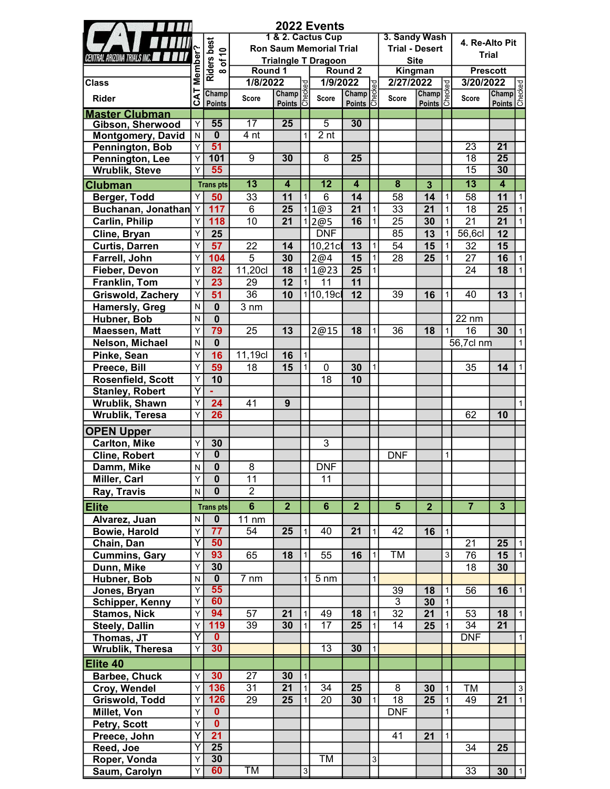|                                           |                         |                         |                  |                                             |                | 2022 Events                    |                         |              |                         |                                             |              |                 |                                          |                           |
|-------------------------------------------|-------------------------|-------------------------|------------------|---------------------------------------------|----------------|--------------------------------|-------------------------|--------------|-------------------------|---------------------------------------------|--------------|-----------------|------------------------------------------|---------------------------|
|                                           |                         |                         |                  |                                             |                | 1 & 2. Cactus Cup              |                         |              | 3. Sandy Wash           |                                             |              | 4. Re-Alto Pit  |                                          |                           |
|                                           |                         | Riders best             |                  |                                             |                | <b>Ron Saum Memorial Trial</b> |                         |              | <b>Trial - Desert</b>   |                                             |              | <b>Trial</b>    |                                          |                           |
| <b>CENTRAL ARIZONA TRIALS INC.</b>        | Member'                 |                         |                  |                                             |                | <b>Trialngle T Dragoon</b>     |                         |              |                         | <b>Site</b>                                 |              |                 |                                          |                           |
|                                           |                         |                         | Round 1          |                                             |                |                                | Round <sub>2</sub>      |              | Kingman                 |                                             |              | <b>Prescott</b> |                                          |                           |
| <b>Class</b>                              |                         |                         | 1/8/2022         |                                             | pə:            | 1/9/2022                       |                         | 9g           | 2/27/2022               |                                             | 9g           | 3/20/2022       |                                          |                           |
| <b>Rider</b>                              | $\overline{\mathbf{z}}$ | Champ                   | Score            | $Champ$ <sub><math>\frac{3}{2}</math></sub> |                | Score                          | $Champ$ $\frac{3}{2}$   |              | Score                   | $Champ$ <sub><math>\frac{3}{2}</math></sub> |              | Score           | <b>022</b><br>Champ<br>Points<br>Checked |                           |
|                                           | ပ                       | <b>Points</b>           |                  | <u>Points</u> 5                             |                |                                | Points 5                |              |                         | Points 5                                    |              |                 |                                          |                           |
| <b>Master Clubman</b><br>Gibson, Sherwood | Y                       | 55                      | 17               | $\overline{25}$                             |                | $\overline{5}$                 | 30                      |              |                         |                                             |              |                 |                                          |                           |
| <b>Montgomery, David</b>                  | N                       | $\overline{\mathbf{0}}$ | 4 <sub>nt</sub>  |                                             | 1              | 2 <sub>nt</sub>                |                         |              |                         |                                             |              |                 |                                          |                           |
| Pennington, Bob                           | Y                       | 51                      |                  |                                             |                |                                |                         |              |                         |                                             |              | 23              | $\overline{21}$                          |                           |
| Pennington, Lee                           | Y                       | 101                     | $\overline{9}$   | 30                                          |                | 8                              | $\overline{25}$         |              |                         |                                             |              | 18              | $\overline{25}$                          |                           |
| <b>Wrublik, Steve</b>                     | Y                       | 55                      |                  |                                             |                |                                |                         |              |                         |                                             |              | $\overline{15}$ | 30                                       |                           |
|                                           |                         |                         | $\overline{13}$  | $\overline{4}$                              |                | $\overline{12}$                | $\overline{\mathbf{4}}$ |              | $\overline{\mathbf{8}}$ | $\overline{3}$                              |              | $\overline{13}$ | $\overline{4}$                           |                           |
| <b>Clubman</b><br>Berger, Todd            | Y                       | <b>Transpts</b><br>50   | 33               | 11                                          | 1              | 6                              | 14                      |              | 58                      | 14                                          | $\mathbf{1}$ | 58              | 11                                       | $\mathbf{1}$              |
|                                           |                         | 117                     | $6\phantom{1}$   |                                             |                | 1 1@3                          | 21                      | $\mathbf{1}$ | 33                      | 21                                          | $\mathbf{1}$ |                 | 25                                       |                           |
| Buchanan, Jonathan Y                      |                         |                         |                  | 25                                          |                |                                |                         | $\mathbf{1}$ |                         |                                             |              | 18              |                                          | $\vert$ 1<br>$\mathbf{1}$ |
| <b>Carlin, Philip</b>                     | Υ                       | 118                     | 10               | 21                                          |                | 1 2@5                          | 16                      |              | 25                      | 30                                          | $\mathbf{1}$ | 21              | 21                                       |                           |
| Cline, Bryan                              | Υ                       | 25                      |                  |                                             |                | <b>DNF</b>                     |                         |              | 85                      | 13                                          | $\mathbf{1}$ | 56,6cl          | 12                                       |                           |
| <b>Curtis, Darren</b>                     | Υ                       | 57                      | 22               | 14                                          |                | 10,21cl                        | 13                      | 1            | 54                      | 15                                          | 1            | 32              | 15                                       |                           |
| Farrell, John                             | Y                       | 104                     | 5                | 30                                          |                | 2@4                            | 15                      | 1            | 28                      | 25                                          | 1            | 27              | 16                                       | $\mathbf{1}$              |
| Fieber, Devon                             | Y                       | 82                      | 11,20cl          | 18                                          |                | 1 1@23                         | 25                      | $\mathbf{1}$ |                         |                                             |              | 24              | 18                                       | 1                         |
| Franklin, Tom                             | Y                       | 23                      | 29               | 12                                          |                | 11                             | 11                      |              |                         |                                             |              |                 |                                          |                           |
| <b>Griswold, Zachery</b>                  | Y                       | $\overline{51}$         | 36               | 10                                          |                | 10,19c                         | 12                      |              | 39                      | 16                                          | $\mathbf{1}$ | 40              | 13                                       | $\mathbf{1}$              |
| <b>Hamersly, Greg</b>                     | N                       | $\mathbf 0$             | $3 \, \text{nm}$ |                                             |                |                                |                         |              |                         |                                             |              |                 |                                          |                           |
| Hubner, Bob                               | N                       | $\overline{\mathbf{0}}$ |                  |                                             |                |                                |                         |              |                         |                                             |              | 22 nm           |                                          |                           |
| Maessen, Matt                             | Y                       | 79                      | 25               | 13                                          |                | 2@15                           | 18                      | $\mathbf{1}$ | 36                      | 18                                          | 1            | 16              | 30                                       | $\mathbf{1}$              |
| Nelson, Michael                           | N                       | $\mathbf 0$             |                  |                                             |                |                                |                         |              |                         |                                             |              | 56,7cl nm       |                                          | 1                         |
| Pinke, Sean                               | Υ                       | 16                      | 11,19cl          | 16                                          | 1              |                                |                         |              |                         |                                             |              |                 |                                          |                           |
| Preece, Bill                              | Y                       | 59                      | 18               | 15                                          | 1              | 0                              | 30                      | 1            |                         |                                             |              | 35              | 14                                       | 1                         |
| Rosenfield, Scott                         | Y                       | 10                      |                  |                                             |                | 18                             | 10                      |              |                         |                                             |              |                 |                                          |                           |
| <b>Stanley, Robert</b>                    | $\overline{\mathsf{Y}}$ |                         |                  |                                             |                |                                |                         |              |                         |                                             |              |                 |                                          |                           |
| Wrublik, Shawn                            | Υ                       | 24                      | 41               | 9                                           |                |                                |                         |              |                         |                                             |              |                 |                                          | $\mathbf{1}$              |
| Wrublik, Teresa                           | Υ                       | 26                      |                  |                                             |                |                                |                         |              |                         |                                             |              | 62              | 10                                       |                           |
| <b>OPEN Upper</b>                         |                         |                         |                  |                                             |                |                                |                         |              |                         |                                             |              |                 |                                          |                           |
| <b>Carlton, Mike</b>                      | Υ                       | 30                      |                  |                                             |                | 3                              |                         |              |                         |                                             |              |                 |                                          |                           |
| <b>Cline, Robert</b>                      | Υ                       | $\overline{\mathbf{0}}$ |                  |                                             |                |                                |                         |              | <b>DNF</b>              |                                             | 1            |                 |                                          |                           |
| Damm, Mike                                | $\overline{\mathsf{N}}$ | $\overline{\mathbf{0}}$ | $\overline{8}$   |                                             |                | <b>DNF</b>                     |                         |              |                         |                                             |              |                 |                                          |                           |
| Miller, Carl                              | Y                       | $\bf{0}$                | 11               |                                             |                | 11                             |                         |              |                         |                                             |              |                 |                                          |                           |
| Ray, Travis                               | N                       | $\mathbf{0}$            | $\overline{2}$   |                                             |                |                                |                         |              |                         |                                             |              |                 |                                          |                           |
|                                           |                         |                         |                  |                                             |                |                                |                         |              |                         |                                             |              |                 |                                          |                           |
| <b>Elite</b>                              |                         | <b>Trans pts</b>        | $6\phantom{a}$   | 2 <sub>1</sub>                              |                | $6\phantom{a}$                 | $\overline{2}$          |              | $5\phantom{.}$          | $\overline{2}$                              |              | $\overline{7}$  | 3 <sup>5</sup>                           |                           |
| Alvarez, Juan                             | N                       | $\mathbf 0$             | 11 nm            |                                             |                |                                |                         |              |                         |                                             |              |                 |                                          |                           |
| <b>Bowie, Harold</b>                      | Υ                       | 77                      | 54               | 25                                          | $\mathbf{1}$   | 40                             | 21                      | 1            | 42                      | 16                                          | $\mathbf{1}$ |                 |                                          |                           |
| Chain, Dan                                | Ÿ                       | 50                      |                  |                                             |                |                                |                         |              |                         |                                             |              | $\overline{21}$ | 25                                       | $\vert$ 1                 |
| <b>Cummins, Gary</b>                      | Υ                       | 93                      | 65               | 18                                          | $\mathbf{1}$   | 55                             | 16                      | 1            | TM                      |                                             | 3            | 76              | 15                                       | $\vert$ 1                 |
| Dunn, Mike                                | Υ                       | 30                      |                  |                                             |                |                                |                         |              |                         |                                             |              | 18              | 30                                       |                           |
| Hubner, Bob                               | N                       | $\overline{\mathbf{0}}$ | $7 \text{ nm}$   |                                             | 1              | $5 \text{ nm}$                 |                         | $\mathbf{1}$ |                         |                                             |              |                 |                                          |                           |
| Jones, Bryan                              | Y                       | 55                      |                  |                                             |                |                                |                         |              | 39                      | 18                                          | $\mathbf{1}$ | 56              | 16                                       | $\mathbf{1}$              |
| <b>Schipper, Kenny</b>                    | Υ                       | 60                      |                  |                                             |                |                                |                         |              | 3                       | 30                                          | $\mathbf{1}$ |                 |                                          |                           |
| <b>Stamos, Nick</b>                       | Υ                       | 94                      | 57               | 21                                          | 1              | 49                             | 18                      | 1            | 32                      | 21                                          | 1            | 53              | 18                                       | $\mathbf{1}$              |
| <b>Steely, Dallin</b>                     | Υ                       | 119                     | 39               | 30                                          | 1              | 17                             | 25                      | 1            | 14                      | 25                                          | 1            | 34              | $\overline{21}$                          |                           |
| Thomas, JT                                | Ÿ                       | $\mathbf{0}$            |                  |                                             |                |                                |                         |              |                         |                                             |              | <b>DNF</b>      |                                          | $\mathbf{1}$              |
| Wrublik, Theresa                          | Y                       | 30                      |                  |                                             |                | $\overline{13}$                | 30                      | $\vert$      |                         |                                             |              |                 |                                          |                           |
| Elite 40                                  |                         |                         |                  |                                             |                |                                |                         |              |                         |                                             |              |                 |                                          |                           |
| Barbee, Chuck                             | Υ                       | 30                      | 27               | 30                                          | $\mathbf{1}$   |                                |                         |              |                         |                                             |              |                 |                                          |                           |
| Croy, Wendel                              | Υ                       | 136                     | $\overline{31}$  | $\overline{21}$                             | $\mathbf{1}$   | 34                             | 25                      |              | $\overline{8}$          | 30                                          | $\mathbf{1}$ | TM              |                                          | $\ensuremath{\mathsf{3}}$ |
| Griswold, Todd                            | Υ                       | 126                     | 29               | 25                                          | 1              | 20                             | 30                      | 1            | $\overline{18}$         | 25                                          | $\mathbf{1}$ | 49              | 21                                       | $\mathbf{1}$              |
| Millet, Von                               | Υ                       | $\overline{\mathbf{0}}$ |                  |                                             |                |                                |                         |              | <b>DNF</b>              |                                             | 1            |                 |                                          |                           |
| Petry, Scott                              | Υ                       | $\overline{\mathbf{0}}$ |                  |                                             |                |                                |                         |              |                         |                                             |              |                 |                                          |                           |
| Preece, John                              | $\overline{\mathsf{Y}}$ | $\overline{21}$         |                  |                                             |                |                                |                         |              | 41                      | 21                                          | $\mathbf{1}$ |                 |                                          |                           |
| Reed, Joe                                 | Y                       | $\overline{25}$         |                  |                                             |                |                                |                         |              |                         |                                             |              | 34              | 25                                       |                           |
| Roper, Vonda                              | Υ                       | 30                      |                  |                                             |                | TM                             |                         | $\mathbf{3}$ |                         |                                             |              |                 |                                          |                           |
| Saum, Carolyn                             | Υ                       | 60                      | ТM               |                                             | $\overline{3}$ |                                |                         |              |                         |                                             |              | $\overline{33}$ | 30                                       | $\vert$ 1                 |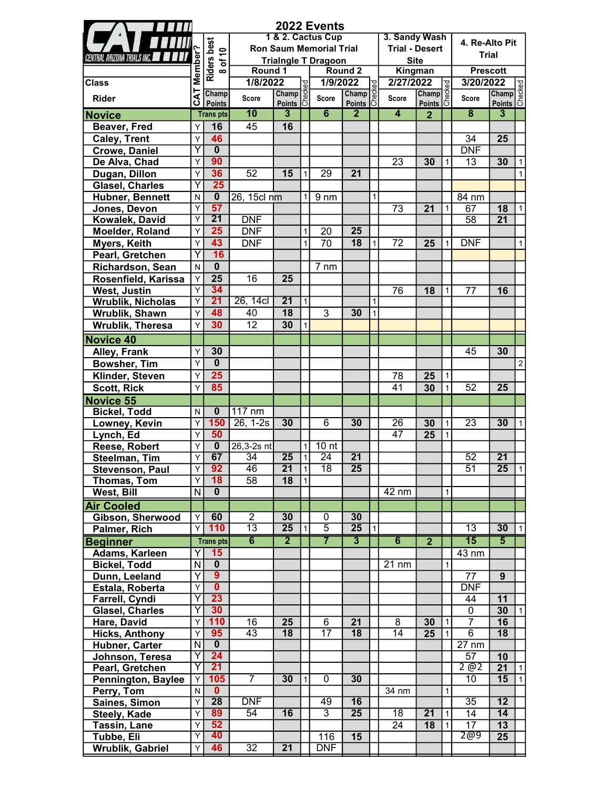|                                        |                         |                         |                  |                                |              | 2022 Events                    |                           |                |                       |                 |              |                         |                             |                |
|----------------------------------------|-------------------------|-------------------------|------------------|--------------------------------|--------------|--------------------------------|---------------------------|----------------|-----------------------|-----------------|--------------|-------------------------|-----------------------------|----------------|
|                                        |                         |                         |                  |                                |              | 1 & 2. Cactus Cup              |                           |                | 3. Sandy Wash         |                 |              | 4. Re-Alto Pit          |                             |                |
|                                        |                         | Riders best<br>8 of 10  |                  |                                |              | <b>Ron Saum Memorial Trial</b> |                           |                | <b>Trial - Desert</b> |                 |              | <b>Trial</b>            |                             |                |
| CENTRAL ARIZONA TRIALS INC.            | Member?                 |                         |                  |                                |              | <b>Trialngle T Dragoon</b>     |                           |                | <b>Site</b>           |                 |              |                         |                             |                |
|                                        |                         |                         | Round 1          |                                |              |                                | Round <sub>2</sub>        |                | Kingman               |                 |              | <b>Prescott</b>         |                             |                |
| <b>Class</b>                           |                         |                         | 1/8/2022         |                                |              | 1/9/2022                       |                           | g              | 2/27/2022             |                 | ಕ್ಷ          | 3/20/2022               |                             |                |
| <b>Rider</b>                           | CAT                     | Champ<br><b>Points</b>  | Score            | 22<br>Champ<br>Points <b>C</b> |              | Score                          | Champ<br>Points <b>S</b>  |                | <b>Score</b>          | Champ<br>Points |              | <b>Score</b>            | 022<br>Champ<br>Points<br>C |                |
| <b>Novice</b>                          |                         | <b>Trans pts</b>        | 10               | $\overline{3}$                 |              | 6                              | $\overline{2}$            |                | $\overline{4}$        | $\overline{2}$  |              | $\overline{\mathbf{8}}$ | 3                           |                |
| <b>Beaver, Fred</b>                    | Y                       | 16                      | 45               | 16                             |              |                                |                           |                |                       |                 |              |                         |                             |                |
| <b>Caley, Trent</b>                    | Y                       | 46                      |                  |                                |              |                                |                           |                |                       |                 |              | 34                      | 25                          |                |
| <b>Crowe, Daniel</b>                   | Ÿ                       | $\overline{\mathbf{0}}$ |                  |                                |              |                                |                           |                |                       |                 |              | <b>DNF</b>              |                             |                |
| De Alva, Chad                          | Y                       | 90                      |                  |                                |              |                                |                           |                | 23                    | 30              | 1            | 13                      | 30                          | 1              |
| Dugan, Dillon                          | Y                       | 36                      | 52               | 15                             | $\mathbf{1}$ | 29                             | 21                        |                |                       |                 |              |                         |                             | $\mathbf{1}$   |
| Glasel, Charles                        | Υ                       | 25                      |                  |                                |              |                                |                           |                |                       |                 |              |                         |                             |                |
| Hubner, Bennett                        | N                       | $\overline{\mathbf{0}}$ | 26, 15cl nm      |                                | 1            | 9 <sub>nm</sub>                |                           | $\mathbf{1}$   |                       |                 |              | 84 nm                   |                             |                |
| Jones, Devon                           | Υ                       | 57                      |                  |                                |              |                                |                           |                | 73                    | 21              | 1            | 67                      | 18                          | 1              |
| Kowalek, David                         | Υ                       | $\overline{21}$         | <b>DNF</b>       |                                |              |                                |                           |                |                       |                 |              | 58                      | 21                          |                |
| Moelder, Roland                        | Y                       | 25                      | <b>DNF</b>       |                                | $\mathbf{1}$ | 20                             | 25                        |                |                       |                 |              |                         |                             |                |
|                                        | Y                       | 43                      | <b>DNF</b>       |                                | $\mathbf{1}$ | 70                             | 18                        | $\mathbf{1}$   | 72                    | 25              | 1            | <b>DNF</b>              |                             | $\mathbf{1}$   |
| <b>Myers, Keith</b><br>Pearl, Gretchen | Ÿ                       | 16                      |                  |                                |              |                                |                           |                |                       |                 |              |                         |                             |                |
|                                        |                         | $\overline{\mathbf{0}}$ |                  |                                |              |                                |                           |                |                       |                 |              |                         |                             |                |
| Richardson, Sean                       | ${\sf N}$               | $\overline{25}$         | 16               | 25                             |              | $7 \, \text{nm}$               |                           |                |                       |                 |              |                         |                             |                |
| Rosenfield, Karissa                    | Y<br>Y                  | 34                      |                  |                                |              |                                |                           |                |                       |                 |              |                         |                             |                |
| West, Justin                           | $\overline{Y}$          | 21                      | 26, 14cl         | 21                             | $\mathbf{1}$ |                                |                           | 1              | 76                    | 18              | 1            | 77                      | 16                          |                |
| <b>Wrublik, Nicholas</b>               | Y                       | 48                      | 40               | $\overline{18}$                |              | $\overline{3}$                 | 30                        |                |                       |                 |              |                         |                             |                |
| Wrublik, Shawn                         |                         | 30                      | $\overline{12}$  | 30                             |              |                                |                           | $\mathbf{1}$   |                       |                 |              |                         |                             |                |
| Wrublik, Theresa                       | Y                       |                         |                  |                                | $\mathbf{1}$ |                                |                           |                |                       |                 |              |                         |                             |                |
| <b>Novice 40</b>                       |                         |                         |                  |                                |              |                                |                           |                |                       |                 |              |                         |                             |                |
| Alley, Frank                           | Y                       | 30                      |                  |                                |              |                                |                           |                |                       |                 |              | 45                      | 30                          |                |
| <b>Bowsher, Tim</b>                    | Y                       | $\overline{\mathbf{0}}$ |                  |                                |              |                                |                           |                |                       |                 |              |                         |                             | $\overline{2}$ |
| Klinder, Steven                        | Υ                       | 25                      |                  |                                |              |                                |                           |                | 78                    | 25              | 1            |                         |                             |                |
| <b>Scott, Rick</b>                     | Υ                       | 85                      |                  |                                |              |                                |                           |                | 41                    | 30              | $\mathbf{1}$ | 52                      | 25                          |                |
| Novice 55                              |                         |                         |                  |                                |              |                                |                           |                |                       |                 |              |                         |                             |                |
| <b>Bickel, Todd</b>                    | N                       | $\bf{0}$                | $117 \text{ nm}$ |                                |              |                                |                           |                |                       |                 |              |                         |                             |                |
| Lowney, Kevin                          | Υ                       | 150                     | $26, 1-2s$       | 30                             |              | $\overline{6}$                 | 30                        |                | $\overline{26}$       | 30              | $\mathbf{1}$ | $\overline{23}$         | 30                          | 1              |
| Lynch, Ed                              | Y                       | 50                      |                  |                                |              |                                |                           |                | $\overline{47}$       | 25              | $\mathbf{1}$ |                         |                             |                |
| Reese, Robert                          | Υ                       | $\overline{\mathbf{0}}$ | 26,3-2s nt       |                                | $\mathbf 1$  | 10 <sub>nt</sub>               |                           |                |                       |                 |              |                         |                             |                |
| Steelman, Tim                          | Y                       | 67                      | $\overline{34}$  | $\overline{25}$                | $\mathbf{1}$ | $\overline{24}$                | $\overline{21}$           |                |                       |                 |              | $\overline{52}$         | $\overline{21}$             |                |
| <b>Stevenson, Paul</b>                 | Y                       | 92                      | 46               | $\overline{21}$                |              | $\overline{18}$                | $\overline{25}$           |                |                       |                 |              | $\overline{51}$         | $\overline{25}$             |                |
| Thomas, Tom                            | Y                       | 18                      | 58               | 18                             | $\mathbf{1}$ |                                |                           |                |                       |                 |              |                         |                             |                |
| West, Bill                             | $\overline{\mathsf{N}}$ | $\overline{0}$          |                  |                                |              |                                |                           |                | $42 \text{ nm}$       |                 | $\mathbf{1}$ |                         |                             |                |
| <b>Air Cooled</b>                      |                         |                         |                  |                                |              |                                |                           |                |                       |                 |              |                         |                             |                |
| Gibson, Sherwood                       | Υ                       | 60                      | $\overline{2}$   | 30                             |              | 0                              | 30                        |                |                       |                 |              |                         |                             |                |
| <b>Palmer, Rich</b>                    | Y                       | 110                     | $\overline{13}$  | $\overline{25}$                | $\vert$ 1    | $\overline{5}$                 | $\overline{25}$           | $\overline{1}$ |                       |                 |              | $\overline{13}$         | 30                          | $\vert$ 1      |
| <b>Beginner</b>                        |                         | <b>Transpts</b>         | $\overline{6}$   | $\overline{2}$                 |              | $\overline{7}$                 | $\overline{\overline{3}}$ |                | $\overline{6}$        | $\overline{2}$  |              | $\overline{15}$         | $\overline{5}$              |                |
| Adams, Karleen                         | Y                       | 15                      |                  |                                |              |                                |                           |                |                       |                 |              | 43 nm                   |                             |                |
| <b>Bickel, Todd</b>                    | N                       | $\overline{\mathbf{0}}$ |                  |                                |              |                                |                           |                | $\overline{21}$ nm    |                 | $\mathbf{1}$ |                         |                             |                |
| Dunn, Leeland                          | Ÿ                       | $\overline{9}$          |                  |                                |              |                                |                           |                |                       |                 |              | 77                      | 9                           |                |
| Estala, Roberta                        | Y                       | $\mathbf{0}$            |                  |                                |              |                                |                           |                |                       |                 |              | <b>DNF</b>              |                             |                |
| Farrell, Cyndi                         | $\overline{\mathsf{Y}}$ | 23                      |                  |                                |              |                                |                           |                |                       |                 |              | 44                      | 11                          |                |
| <b>Glasel, Charles</b>                 | Ÿ                       | 30                      |                  |                                |              |                                |                           |                |                       |                 |              | $\mathbf 0$             | 30                          | $\vert$ 1      |
| Hare, David                            | Y                       | 110                     | 16               | 25                             |              | 6                              | 21                        |                | 8                     | 30              | $\mathbf{1}$ | $\overline{7}$          | 16                          |                |
| <b>Hicks, Anthony</b>                  | Y                       | 95                      | 43               | $\overline{18}$                |              | $\overline{17}$                | 18                        |                | $\overline{14}$       | 25              | $\mathbf{1}$ | 6                       | 18                          |                |
| Hubner, Carter                         | N                       | $\overline{\mathbf{0}}$ |                  |                                |              |                                |                           |                |                       |                 |              | $\overline{27}$ nm      |                             |                |
| Johnson, Teresa                        | Y                       | 24                      |                  |                                |              |                                |                           |                |                       |                 |              | 57                      | 10                          |                |
| Pearl, Gretchen                        | Y                       | 21                      |                  |                                |              |                                |                           |                |                       |                 |              | 2 @2                    | 21                          | $\mathbf{1}$   |
| Pennington, Baylee                     | Y                       | 105                     | $\overline{7}$   | 30                             | $\mathbf{1}$ | $\mathbf 0$                    | 30                        |                |                       |                 |              | 10                      | 15                          | $\vert$ 1      |
| Perry, Tom                             | N                       | $\overline{\mathbf{0}}$ |                  |                                |              |                                |                           |                | 34 nm                 |                 | $\mathbf{1}$ |                         |                             |                |
| Saines, Simon                          | Y                       | 28                      | DNF              |                                |              | 49                             | 16                        |                |                       |                 |              | $\overline{35}$         | $\overline{12}$             |                |
| Steely, Kade                           | Y                       | 89                      | 54               | 16                             |              | $\overline{3}$                 | $\overline{25}$           |                | $\overline{18}$       | $\overline{21}$ | $\mathbf{1}$ | 14                      | 14                          |                |
| Tassin, Lane                           | Y                       | 52                      |                  |                                |              |                                |                           |                | 24                    | 18              | 1            | $\overline{17}$         | $\overline{13}$             |                |
| Tubbe, Eli                             | $\overline{Y}$          | 40                      |                  |                                |              | 116                            | 15                        |                |                       |                 |              | 2@9                     | $\overline{25}$             |                |
| Wrublik, Gabriel                       | Y                       | 46                      | 32               | 21                             |              | <b>DNF</b>                     |                           |                |                       |                 |              |                         |                             |                |
|                                        |                         |                         |                  |                                |              |                                |                           |                |                       |                 |              |                         |                             |                |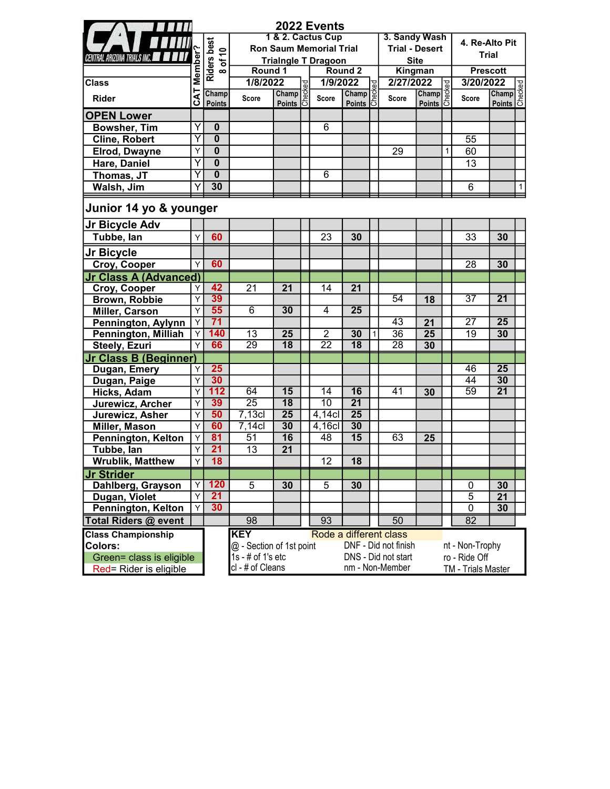|                                    |         |                         |                          |                                                                                                                     | 2022 Events                    |                        |              |                       |                                                                                                                                                    |   |                    |                        |              |
|------------------------------------|---------|-------------------------|--------------------------|---------------------------------------------------------------------------------------------------------------------|--------------------------------|------------------------|--------------|-----------------------|----------------------------------------------------------------------------------------------------------------------------------------------------|---|--------------------|------------------------|--------------|
|                                    |         |                         |                          |                                                                                                                     | 1 & 2. Cactus Cup              |                        |              | 3. Sandy Wash         |                                                                                                                                                    |   | 4. Re-Alto Pit     |                        |              |
| <b>CENTRAL ARIZONA TRIALS INC.</b> | Member? | Riders best<br>8 of 10  |                          |                                                                                                                     | <b>Ron Saum Memorial Trial</b> |                        |              | <b>Trial - Desert</b> |                                                                                                                                                    |   |                    | <b>Trial</b>           |              |
|                                    |         |                         | Round 1                  |                                                                                                                     | <b>Trialngle T Dragoon</b>     | Round 2                |              |                       | <b>Site</b><br>Kingman                                                                                                                             |   |                    | <b>Prescott</b>        |              |
| <b>Class</b>                       |         |                         | 1/8/2022                 |                                                                                                                     | 1/9/2022                       |                        |              | 2/27/2022             |                                                                                                                                                    |   | 3/20/2022          |                        |              |
|                                    |         | Champ                   |                          |                                                                                                                     |                                | Champ                  |              |                       |                                                                                                                                                    |   |                    |                        |              |
| <b>Rider</b>                       | CAT     | <b>Points</b>           | <b>Score</b>             | $\begin{array}{c}\n 22 \\  \hline\n \text{Champ} \, \frac{36}{6} \\  \text{Points} \, \frac{36}{6} \\  \end{array}$ | <b>Score</b>                   | D22<br>Champ<br>Points |              | Score                 | $\begin{array}{ l }\n\hline\n\text{1022} & \text{C} \\ \hline\n\text{Champ} & \text{C} \\ \hline\n\text{Points} & \text{C} \\ \hline\n\end{array}$ |   | <b>Score</b>       | 022<br>Champ<br>Points |              |
| <b>OPEN Lower</b>                  |         |                         |                          |                                                                                                                     |                                |                        |              |                       |                                                                                                                                                    |   |                    |                        |              |
| <b>Bowsher, Tim</b>                | Υ       | $\bf{0}$                |                          |                                                                                                                     | 6                              |                        |              |                       |                                                                                                                                                    |   |                    |                        |              |
| <b>Cline, Robert</b>               | Y       | $\overline{\mathbf{0}}$ |                          |                                                                                                                     |                                |                        |              |                       |                                                                                                                                                    |   | 55                 |                        |              |
| <b>Elrod, Dwayne</b>               | Υ       | $\mathbf 0$             |                          |                                                                                                                     |                                |                        |              | 29                    |                                                                                                                                                    | 1 | 60                 |                        |              |
| Hare, Daniel                       | Υ       | $\bf{0}$                |                          |                                                                                                                     |                                |                        |              |                       |                                                                                                                                                    |   | 13                 |                        |              |
| Thomas, JT                         | Υ       | $\bf{0}$                |                          |                                                                                                                     | 6                              |                        |              |                       |                                                                                                                                                    |   |                    |                        |              |
| Walsh, Jim                         | Y       | 30                      |                          |                                                                                                                     |                                |                        |              |                       |                                                                                                                                                    |   | 6                  |                        | $\mathbf{1}$ |
| Junior 14 yo & younger             |         |                         |                          |                                                                                                                     |                                |                        |              |                       |                                                                                                                                                    |   |                    |                        |              |
| Jr Bicycle Adv                     |         |                         |                          |                                                                                                                     |                                |                        |              |                       |                                                                                                                                                    |   |                    |                        |              |
| Tubbe, lan                         | Y       | 60                      |                          |                                                                                                                     | 23                             | 30                     |              |                       |                                                                                                                                                    |   | 33                 | 30                     |              |
| Jr Bicycle                         |         |                         |                          |                                                                                                                     |                                |                        |              |                       |                                                                                                                                                    |   |                    |                        |              |
| Croy, Cooper                       | Υ       | 60                      |                          |                                                                                                                     |                                |                        |              |                       |                                                                                                                                                    |   | 28                 | 30                     |              |
| <b>Jr Class A (Advanced)</b>       |         |                         |                          |                                                                                                                     |                                |                        |              |                       |                                                                                                                                                    |   |                    |                        |              |
| Croy, Cooper                       | Υ       | 42                      | 21                       | 21                                                                                                                  | 14                             | 21                     |              |                       |                                                                                                                                                    |   |                    |                        |              |
| Brown, Robbie                      | Υ       | 39                      |                          |                                                                                                                     |                                |                        |              | 54                    | 18                                                                                                                                                 |   | $\overline{37}$    | 21                     |              |
| Miller, Carson                     | Y       | 55                      | $\overline{6}$           | 30                                                                                                                  | $\overline{4}$                 | $\overline{25}$        |              |                       |                                                                                                                                                    |   |                    |                        |              |
| Pennington, Aylynn                 | Y       | 71                      |                          |                                                                                                                     |                                |                        |              | $\overline{43}$       | 21                                                                                                                                                 |   | $\overline{27}$    | $\overline{25}$        |              |
| Pennington, Milliah                | Υ       | 140                     | 13                       | 25                                                                                                                  | $\overline{2}$                 | 30                     | $\mathbf{1}$ | $\overline{36}$       | 25                                                                                                                                                 |   | 19                 | 30                     |              |
| Steely, Ezuri                      | Υ       | 66                      | $\overline{29}$          | $\overline{18}$                                                                                                     | $\overline{22}$                | $\overline{18}$        |              | $\overline{28}$       | 30                                                                                                                                                 |   |                    |                        |              |
| <b>Jr Class B (Beginner)</b>       |         |                         |                          |                                                                                                                     |                                |                        |              |                       |                                                                                                                                                    |   |                    |                        |              |
| Dugan, Emery                       | Υ       | 25                      |                          |                                                                                                                     |                                |                        |              |                       |                                                                                                                                                    |   | 46                 | $\overline{25}$        |              |
| Dugan, Paige                       | Y       | 30                      |                          |                                                                                                                     |                                |                        |              |                       |                                                                                                                                                    |   | $\overline{44}$    | 30                     |              |
| <b>Hicks, Adam</b>                 | Y       | 112                     | 64                       | 15                                                                                                                  | $\overline{14}$                | 16                     |              | 41                    | 30                                                                                                                                                 |   | 59                 | $\overline{21}$        |              |
| Jurewicz, Archer                   | Y       | 39                      | $\overline{25}$          | $\overline{18}$                                                                                                     | 10                             | $\overline{21}$        |              |                       |                                                                                                                                                    |   |                    |                        |              |
| Jurewicz, Asher                    | Y       | 50                      | $7,13$ cl                | $\overline{25}$                                                                                                     | $4,14$ cl                      | $\overline{25}$        |              |                       |                                                                                                                                                    |   |                    |                        |              |
| <b>Miller, Mason</b>               | Y       | 60                      | $7,14$ cl                | 30                                                                                                                  | 4,16cl                         | 30                     |              |                       |                                                                                                                                                    |   |                    |                        |              |
| Pennington, Kelton                 | Υ       | 81                      | $\overline{51}$          | $\overline{16}$                                                                                                     | 48                             | $\overline{15}$        |              | 63                    | 25                                                                                                                                                 |   |                    |                        |              |
| Tubbe, lan                         | Υ       | 21                      | 13                       | 21                                                                                                                  |                                |                        |              |                       |                                                                                                                                                    |   |                    |                        |              |
| <b>Wrublik, Matthew</b>            | Υ       | 18                      |                          |                                                                                                                     | 12                             | 18                     |              |                       |                                                                                                                                                    |   |                    |                        |              |
| <b>Jr Strider</b>                  |         |                         |                          |                                                                                                                     |                                |                        |              |                       |                                                                                                                                                    |   |                    |                        |              |
| Dahlberg, Grayson                  | Υ       | 120                     | 5                        | 30                                                                                                                  | 5                              | 30                     |              |                       |                                                                                                                                                    |   | 0                  | 30                     |              |
| Dugan, Violet                      | Y       | 21                      |                          |                                                                                                                     |                                |                        |              |                       |                                                                                                                                                    |   | $\overline{5}$     | 21                     |              |
| Pennington, Kelton                 | Υ       | 30                      |                          |                                                                                                                     |                                |                        |              |                       |                                                                                                                                                    |   | $\overline{0}$     | 30                     |              |
| <b>Total Riders @ event</b>        |         |                         | 98                       |                                                                                                                     | 93                             |                        |              | 50                    |                                                                                                                                                    |   | 82                 |                        |              |
| <b>Class Championship</b>          |         |                         | <b>KEY</b>               |                                                                                                                     | Rode a different class         |                        |              |                       |                                                                                                                                                    |   |                    |                        |              |
| Colors:                            |         |                         | @ - Section of 1st point |                                                                                                                     |                                |                        |              | DNF - Did not finish  |                                                                                                                                                    |   | nt - Non-Trophy    |                        |              |
| Green= class is eligible           |         |                         | $1s - #$ of $1's$ etc    |                                                                                                                     |                                |                        |              | DNS - Did not start   |                                                                                                                                                    |   | ro - Ride Off      |                        |              |
| Red= Rider is eligible             |         |                         | cl - # of Cleans         |                                                                                                                     |                                |                        |              | nm - Non-Member       |                                                                                                                                                    |   | TM - Trials Master |                        |              |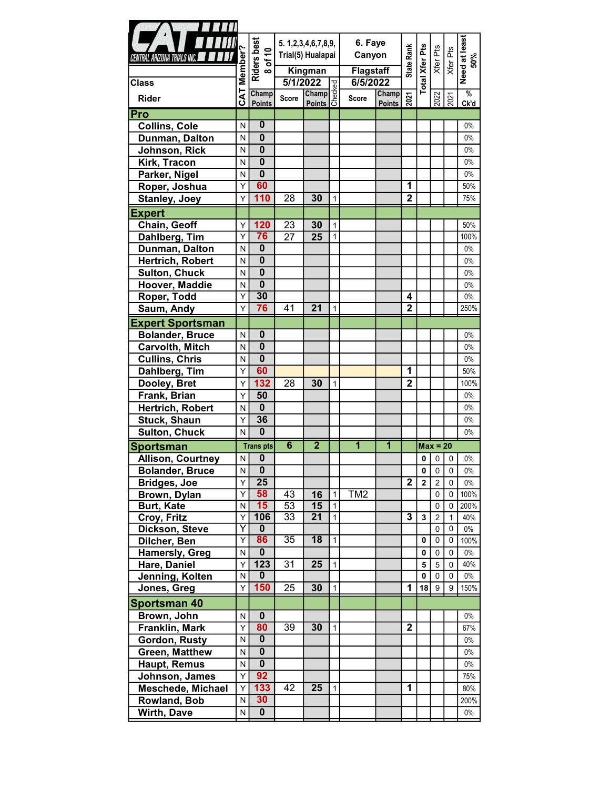| $\blacksquare$                   |                         |                                 |                       |                                                                                                                                                          |                |                  |               |                         |                       |                               |                      |                |
|----------------------------------|-------------------------|---------------------------------|-----------------------|----------------------------------------------------------------------------------------------------------------------------------------------------------|----------------|------------------|---------------|-------------------------|-----------------------|-------------------------------|----------------------|----------------|
|                                  |                         |                                 |                       | 5. 1, 2, 3, 4, 6, 7, 8, 9,                                                                                                                               |                | 6. Faye          |               |                         |                       |                               |                      |                |
| CENTRAL ARIZONA TRIALS INC.      |                         |                                 |                       | Trial(5) Hualapai                                                                                                                                        |                |                  | Canyon        |                         |                       |                               |                      |                |
|                                  |                         | $rac{1}{\sqrt{10}}$<br>$\infty$ |                       | Kingman                                                                                                                                                  |                | <b>Flagstaff</b> |               | <b>State Rank</b>       |                       |                               | Xfer Pts<br>Xfer Pts | 50%            |
| <b>Class</b>                     | Member?                 | Riders                          | 5/1/2022              |                                                                                                                                                          |                | 6/5/2022         |               |                         | <b>Total Xfer Pts</b> |                               |                      | Need at least  |
|                                  |                         | Champ                           |                       |                                                                                                                                                          |                |                  | <b>Champ</b>  |                         |                       |                               |                      | $\frac{9}{6}$  |
| <b>Rider</b>                     | <b>CAT</b>              | <b>Points</b>                   | <b>Score</b>          | $\begin{array}{ l } \hline \textbf{022} & \textbf{0} \\ \hline \textbf{Champ} & \textbf{0} \\ \hline \textbf{Points} & \textbf{0} \\ \hline \end{array}$ |                | <b>Score</b>     | <b>Points</b> | 2021                    |                       | 2022                          | 2021                 | Ck'd           |
| Pro                              |                         |                                 |                       |                                                                                                                                                          |                |                  |               |                         |                       |                               |                      |                |
| <b>Collins, Cole</b>             | N                       | $\overline{\mathbf{0}}$         |                       |                                                                                                                                                          |                |                  |               |                         |                       |                               |                      | $0\%$          |
| Dunman, Dalton                   | N                       | $\mathbf{0}$                    |                       |                                                                                                                                                          |                |                  |               |                         |                       |                               |                      | $0\%$          |
| Johnson, Rick                    | N                       | $\mathbf 0$                     |                       |                                                                                                                                                          |                |                  |               |                         |                       |                               |                      | $0\%$          |
| Kirk, Tracon                     | N                       | $\overline{\mathbf{0}}$         |                       |                                                                                                                                                          |                |                  |               |                         |                       |                               |                      | $0\%$          |
| Parker, Nigel                    | N                       | $\overline{\mathbf{0}}$         |                       |                                                                                                                                                          |                |                  |               |                         |                       |                               |                      | $0\%$          |
| Roper, Joshua                    | Y                       | 60                              |                       |                                                                                                                                                          |                |                  |               | $\overline{1}$          |                       |                               |                      | 50%            |
| Stanley, Joey                    | Y                       | 110                             | 28                    | 30                                                                                                                                                       | $\mathbf{1}$   |                  |               | $\overline{2}$          |                       |                               |                      | 75%            |
| <b>Expert</b>                    |                         |                                 |                       |                                                                                                                                                          |                |                  |               |                         |                       |                               |                      |                |
| Chain, Geoff                     | Υ                       | 120                             | 23                    | 30                                                                                                                                                       | $\mathbf{1}$   |                  |               |                         |                       |                               |                      | 50%            |
| Dahlberg, Tim                    | Y                       | 76                              | 27                    | 25                                                                                                                                                       | $\mathbf{1}$   |                  |               |                         |                       |                               |                      | 100%           |
| Dunman, Dalton                   | N                       | $\mathbf 0$                     |                       |                                                                                                                                                          |                |                  |               |                         |                       |                               |                      | $0\%$          |
| Hertrich, Robert                 | N                       | $\overline{\mathbf{0}}$         |                       |                                                                                                                                                          |                |                  |               |                         |                       |                               |                      | $0\%$          |
| <b>Sulton, Chuck</b>             | N                       | $\overline{\mathbf{0}}$         |                       |                                                                                                                                                          |                |                  |               |                         |                       |                               |                      | $0\%$          |
| Hoover, Maddie                   | N                       | $\overline{\mathbf{0}}$         |                       |                                                                                                                                                          |                |                  |               |                         |                       |                               |                      | $0\%$          |
| Roper, Todd                      | Y                       | $\overline{30}$                 |                       |                                                                                                                                                          |                |                  |               | 4                       |                       |                               |                      | $0\%$          |
| Saum, Andy                       | Υ                       | 76                              | 41                    | 21                                                                                                                                                       | $\mathbf{1}$   |                  |               | $\overline{2}$          |                       |                               |                      | 250%           |
| <b>Expert Sportsman</b>          |                         |                                 |                       |                                                                                                                                                          |                |                  |               |                         |                       |                               |                      |                |
| <b>Bolander, Bruce</b>           | ${\sf N}$               | $\mathbf 0$                     |                       |                                                                                                                                                          |                |                  |               |                         |                       |                               |                      | $0\%$          |
| Carvolth, Mitch                  | N                       | $\mathbf 0$                     |                       |                                                                                                                                                          |                |                  |               |                         |                       |                               |                      | $0\%$          |
| <b>Cullins, Chris</b>            | N                       | $\overline{\mathbf{0}}$         |                       |                                                                                                                                                          |                |                  |               |                         |                       |                               |                      | $0\%$          |
| Dahlberg, Tim                    | Υ                       | 60                              |                       |                                                                                                                                                          |                |                  |               | 1                       |                       |                               |                      | 50%            |
| Dooley, Bret                     | Y                       | 132                             | 28                    | 30                                                                                                                                                       | $\mathbf{1}$   |                  |               | $\overline{2}$          |                       |                               |                      | 100%           |
| Frank, Brian                     | Υ                       | 50                              |                       |                                                                                                                                                          |                |                  |               |                         |                       |                               |                      | $0\%$          |
| Hertrich, Robert                 | N                       | $\mathbf{0}$                    |                       |                                                                                                                                                          |                |                  |               |                         |                       |                               |                      | $0\%$          |
| Stuck, Shaun                     | Y                       | 36                              |                       |                                                                                                                                                          |                |                  |               |                         |                       |                               |                      | $0\%$          |
|                                  | N                       | $\mathbf 0$                     |                       |                                                                                                                                                          |                |                  |               |                         |                       |                               |                      | $0\%$          |
| <b>Sulton, Chuck</b>             |                         |                                 |                       |                                                                                                                                                          |                |                  |               |                         |                       |                               |                      |                |
|                                  |                         |                                 | $6\overline{6}$       | $\overline{2}$                                                                                                                                           |                | $\overline{1}$   | 1             |                         |                       | $Max = 20$                    |                      |                |
| <b>Sportsman</b>                 | N                       | <b>Transpts</b>                 |                       |                                                                                                                                                          |                |                  |               |                         | 0                     |                               | $\mathbf 0$          | $0\%$          |
| <b>Allison, Courtney</b>         | N.                      | 0<br>$\overline{\mathbf{0}}$    |                       |                                                                                                                                                          |                |                  |               |                         | 0                     | $\pmb{0}$<br>0 <sup>1</sup>   | $\mathbf 0$          |                |
| <b>Bolander, Bruce</b>           | Υ                       |                                 |                       |                                                                                                                                                          |                |                  |               |                         |                       |                               | $\mathbf 0$          | $0\%$<br>$0\%$ |
| <b>Bridges, Joe</b>              | Y                       | 25                              |                       |                                                                                                                                                          | $\mathbf{1}$   |                  |               | $\overline{2}$          | $\mathbf 2$           | $\overline{2}$<br>$\mathbf 0$ | $\mathbf 0$          |                |
| Brown, Dylan                     | N                       | 58<br>15                        | 43                    | 16                                                                                                                                                       | $\mathbf{1}$   | TM <sub>2</sub>  |               |                         |                       | $\mathbf 0$                   | 0                    | 100%<br>200%   |
| <b>Burt, Kate</b><br>Croy, Fritz | Ϋ                       | 106                             | 53<br>$\overline{33}$ | 15<br>21                                                                                                                                                 | $\vert$ 1      |                  |               | $\overline{\mathbf{3}}$ | $\mathbf 3$           | $\sqrt{2}$                    | $\mathbf{1}$         | 40%            |
| Dickson, Steve                   | Y                       | $\mathbf{0}$                    |                       |                                                                                                                                                          |                |                  |               |                         |                       | $\mathbf 0$                   | 0                    | $0\%$          |
| Dilcher, Ben                     | $\overline{Y}$          | 86                              | $\overline{35}$       | $\overline{18}$                                                                                                                                          | $\mathbf{1}$   |                  |               |                         | 0                     | 0                             | 0                    | 100%           |
| <b>Hamersly, Greg</b>            | N                       | $\overline{\mathbf{0}}$         |                       |                                                                                                                                                          |                |                  |               |                         | 0                     | $\mathbf 0$                   | $\mathbf 0$          | $0\%$          |
| Hare, Daniel                     | Y                       | $\overline{123}$                | 31                    | 25                                                                                                                                                       | $\mathbf{1}$   |                  |               |                         | 5                     | $\overline{5}$                | $\mathbf 0$          | 40%            |
| Jenning, Kolten                  | $\overline{\mathsf{N}}$ | $\overline{0}$                  |                       |                                                                                                                                                          |                |                  |               |                         | $\mathbf 0$           | $\mathbf 0$                   | $\mathbf 0$          | $0\%$          |
| Jones, Greg                      | Υ                       | 150                             | 25                    | 30                                                                                                                                                       | $\mathbf{1}$   |                  |               | 1                       |                       | $18$   9                      | 9                    | 150%           |
| <b>Sportsman 40</b>              |                         |                                 |                       |                                                                                                                                                          |                |                  |               |                         |                       |                               |                      |                |
| Brown, John                      | ${\sf N}$               | $\mathbf 0$                     |                       |                                                                                                                                                          |                |                  |               |                         |                       |                               |                      | $0\%$          |
| Franklin, Mark                   | $\overline{Y}$          | 80                              | 39                    | 30                                                                                                                                                       | $\overline{1}$ |                  |               | $\overline{2}$          |                       |                               |                      | 67%            |
| Gordon, Rusty                    | $\overline{\mathsf{N}}$ | $\overline{\mathbf{0}}$         |                       |                                                                                                                                                          |                |                  |               |                         |                       |                               |                      | $0\%$          |
|                                  | N                       | $\mathbf 0$                     |                       |                                                                                                                                                          |                |                  |               |                         |                       |                               |                      | $0\%$          |
| Green, Matthew                   | N                       | $\overline{\mathbf{0}}$         |                       |                                                                                                                                                          |                |                  |               |                         |                       |                               |                      | $0\%$          |
| Haupt, Remus                     | Υ                       | 92                              |                       |                                                                                                                                                          |                |                  |               |                         |                       |                               |                      | 75%            |
| Johnson, James                   | Υ                       | $\overline{133}$                | 42                    | 25                                                                                                                                                       | $\mathbf{1}$   |                  |               | 1                       |                       |                               |                      | $80\%$         |
| <b>Meschede, Michael</b>         | N                       | 30                              |                       |                                                                                                                                                          |                |                  |               |                         |                       |                               |                      | 200%           |
| Rowland, Bob<br>Wirth, Dave      | N                       | $\mathbf 0$                     |                       |                                                                                                                                                          |                |                  |               |                         |                       |                               |                      | $0\%$          |

**COMMON CORPORATION**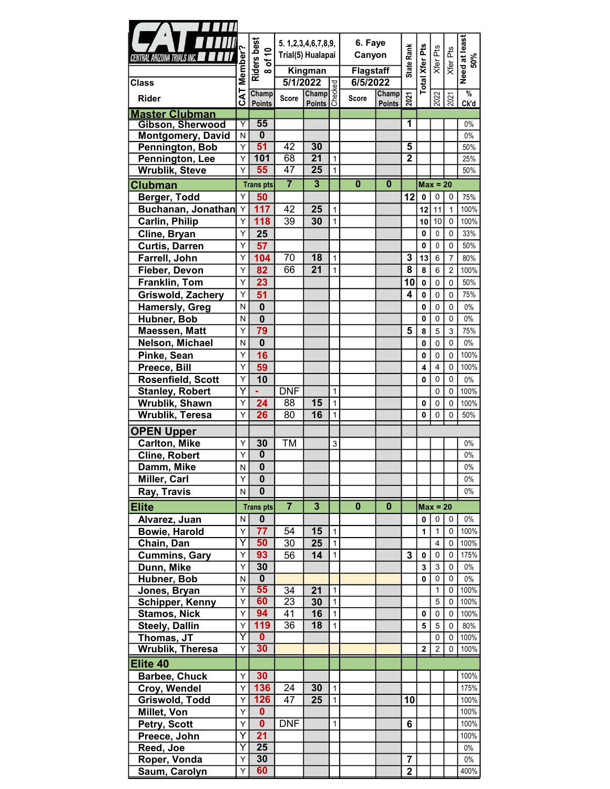|                                             |                         |                               |                       | 5. 1, 2, 3, 4, 6, 7, 8, 9,                        |                              | 6. Faye          |                                              |                         |                       |                  |                             |                      |
|---------------------------------------------|-------------------------|-------------------------------|-----------------------|---------------------------------------------------|------------------------------|------------------|----------------------------------------------|-------------------------|-----------------------|------------------|-----------------------------|----------------------|
| CENTRAL ARIZONA TRIALS INC. <b>AND INC.</b> |                         |                               | Trial(5) Hualapai     |                                                   |                              | Canyon           |                                              |                         |                       |                  |                             |                      |
|                                             |                         |                               |                       | Kingman                                           |                              | <b>Flagstaff</b> |                                              | <b>State Rank</b>       |                       | Xfer Pts         | Xfer Pts                    |                      |
| <b>Class</b>                                | Member'                 | Riders best<br>8 of 10        | 5/1/2022              |                                                   |                              | 6/5/2022         |                                              |                         | <b>Total Xfer Pts</b> |                  |                             | Need at least<br>50% |
|                                             | CAT                     | Champ                         |                       | $\frac{2022}{\text{Champ}}_{\text{D}}^{\text{D}}$ |                              |                  | Champ                                        |                         |                       |                  |                             | $\frac{9}{6}$        |
| <b>Rider</b>                                |                         | <b>Points</b>                 | Score                 |                                                   |                              | Score            | $\frac{\text{Champ}}{\text{Points}} \approx$ |                         |                       | 2022             | 2021                        | Ck'd                 |
| <b>Master Clubman</b>                       |                         |                               |                       |                                                   |                              |                  |                                              |                         |                       |                  |                             |                      |
| <b>Gibson, Sherwood</b>                     | Y                       | 55<br>$\overline{\mathbf{0}}$ |                       |                                                   |                              |                  |                                              | 1                       |                       |                  |                             | $0\%$                |
| <b>Montgomery, David</b><br>Pennington, Bob | N<br>Υ                  | 51                            | 42                    | 30                                                |                              |                  |                                              | $\overline{\mathbf{5}}$ |                       |                  |                             | $0\%$<br>50%         |
| Pennington, Lee                             | Υ                       | 101                           | 68                    | $\overline{21}$                                   | $\mathbf{1}$                 |                  |                                              | $\overline{2}$          |                       |                  |                             | 25%                  |
| <b>Wrublik, Steve</b>                       | Υ                       | 55                            | 47                    | $\overline{25}$                                   | $\mathbf{1}$                 |                  |                                              |                         |                       |                  |                             | 50%                  |
| <b>Clubman</b>                              |                         | <b>Trans pts</b>              | $\overline{7}$        | $\overline{\mathbf{3}}$                           |                              | $\bf{0}$         | $\bf{0}$                                     |                         |                       | $Max = 20$       |                             |                      |
| Berger, Todd                                | Y                       | 50                            |                       |                                                   |                              |                  |                                              | 12                      | $\mathbf 0$           | $\mathbf 0$      | 0                           | 75%                  |
| Buchanan, Jonathan                          | Y                       | 117                           | 42                    | 25                                                | $\mathbf{1}$                 |                  |                                              |                         | 12                    | 11               | $\overline{1}$              | 100%                 |
| <b>Carlin, Philip</b>                       | Y.                      | 118                           | 39                    | 30                                                | $\mathbf{1}$                 |                  |                                              |                         | 10                    | 10               | $\mathbf 0$                 | 100%                 |
| Cline, Bryan                                | Y                       | 25                            |                       |                                                   |                              |                  |                                              |                         | 0                     | $\mathbf 0$      | $\mathbf 0$                 | 33%                  |
| <b>Curtis, Darren</b>                       | Υ                       | 57                            |                       |                                                   |                              |                  |                                              |                         | 0                     | 0                | $\mathbf 0$                 | 50%                  |
| Farrell, John                               | Υ                       | 104                           | 70                    | 18                                                | $\overline{1}$               |                  |                                              | 3                       | 13                    | $\,6\,$          | $\overline{7}$              | 80%                  |
| Fieber, Devon                               | Υ                       | 82                            | 66                    | $\overline{21}$                                   | $\mathbf{1}$                 |                  |                                              | $\overline{\mathbf{8}}$ | $\pmb{8}$             | $\,6\,$          | $\overline{c}$              | 100%                 |
| Franklin, Tom                               | Y                       | 23                            |                       |                                                   |                              |                  |                                              | 10                      | $\pmb{0}$             | $\mathbf 0$      | $\mathbf 0$                 | 50%                  |
| Griswold, Zachery                           | $\overline{Y}$          | $\overline{51}$               |                       |                                                   |                              |                  |                                              | 4                       | $\pmb{0}$             | $\mathbf 0$      | $\mathbf 0$                 | 75%                  |
| <b>Hamersly, Greg</b>                       | N                       | $\mathbf 0$                   |                       |                                                   |                              |                  |                                              |                         | 0                     | $\mathbf 0$      | $\mathbf 0$                 | $0\%$                |
| Hubner, Bob                                 | N<br>Υ                  | $\overline{\mathbf{0}}$<br>79 |                       |                                                   |                              |                  |                                              | $\overline{5}$          | 0                     | $\mathbf 0$      | 0                           | $0\%$                |
| Maessen, Matt                               | N                       | $\mathbf{0}$                  |                       |                                                   |                              |                  |                                              |                         | 8                     | $\sqrt{5}$       | $\mathbf{3}$<br>$\mathbf 0$ | 75%<br>$0\%$         |
| Nelson, Michael<br>Pinke, Sean              | Y                       | 16                            |                       |                                                   |                              |                  |                                              |                         | 0<br>0                | $\mathbf 0$<br>0 | 0                           | 100%                 |
| Preece, Bill                                | Υ                       | 59                            |                       |                                                   |                              |                  |                                              |                         | 4                     | $\overline{4}$   | $\mathbf 0$                 | 100%                 |
| Rosenfield, Scott                           | Υ                       | 10                            |                       |                                                   |                              |                  |                                              |                         | 0                     | $\mathbf 0$      | $\mathbf 0$                 | $0\%$                |
| <b>Stanley, Robert</b>                      | Y                       |                               | <b>DNF</b>            |                                                   | $\mathbf{1}$                 |                  |                                              |                         |                       | $\mathbf 0$      | 0                           | 100%                 |
| Wrublik, Shawn                              | Y                       | 24                            | 88                    | 15                                                | $\mathbf{1}$                 |                  |                                              |                         | 0                     | $\mathbf 0$      | $\mathbf 0$                 | 100%                 |
| Wrublik, Teresa                             | Υ                       | 26                            | 80                    | 16                                                | $\mathbf{1}$                 |                  |                                              |                         | 0                     | 0                | 0                           | 50%                  |
| <b>OPEN Upper</b>                           |                         |                               |                       |                                                   |                              |                  |                                              |                         |                       |                  |                             |                      |
| <b>Carlton, Mike</b>                        | Y                       | 30                            | <b>TM</b>             |                                                   | 3                            |                  |                                              |                         |                       |                  |                             | $0\%$                |
| <b>Cline, Robert</b>                        | $\overline{Y}$          | $\overline{\mathbf{0}}$       |                       |                                                   |                              |                  |                                              |                         |                       |                  |                             | $0\%$                |
| Damm, Mike                                  | N                       | $\overline{\mathbf{0}}$       |                       |                                                   |                              |                  |                                              |                         |                       |                  |                             | $0\%$                |
| Miller, Carl                                | Υ                       | $\mathbf 0$                   |                       |                                                   |                              |                  |                                              |                         |                       |                  |                             | $0\%$                |
| Ray, Travis                                 | N                       | $\mathbf 0$                   |                       |                                                   |                              |                  |                                              |                         |                       |                  |                             | $0\%$                |
| <b>Elite</b>                                |                         | <b>Trans pts</b>              | $\overline{7}$        | $\overline{\mathbf{3}}$                           |                              | $\bf{0}$         | $\mathbf 0$                                  |                         |                       | $Max = 20$       |                             |                      |
| Alvarez, Juan                               | N.                      | $\mathbf 0$                   |                       |                                                   |                              |                  |                                              |                         | 0                     | $\pmb{0}$        | $\mathbf 0$                 | $0\%$                |
| Bowie, Harold                               | Y                       | 77                            | 54                    | 15                                                | $\mathbf{1}$                 |                  |                                              |                         | 1                     | $\mathbf{1}$     | 0                           | 100%                 |
| Chain, Dan                                  | $\overline{\mathsf{Y}}$ | 50                            | 30                    | 25                                                | $\mathbf{1}$                 |                  |                                              |                         |                       | $\overline{4}$   | $\mathbf 0$                 | 100%                 |
| <b>Cummins, Gary</b>                        | Y                       | 93                            | 56                    | 14                                                | $\mathbf{1}$                 |                  |                                              | 3                       | 0                     | 0                | 0                           | 175%                 |
| Dunn, Mike                                  | Y                       | 30                            |                       |                                                   |                              |                  |                                              |                         | 3                     | 3                | 0                           | $0\%$                |
| Hubner, Bob                                 | N                       | $\overline{\mathbf{0}}$       |                       |                                                   |                              |                  |                                              |                         | 0                     | 0                | 0                           | $0\%$                |
| Jones, Bryan                                | Υ<br>Υ                  | 55<br>60                      | 34<br>$\overline{23}$ | 21                                                | $\mathbf{1}$                 |                  |                                              |                         |                       | $\mathbf{1}$     | 0                           | 100%                 |
| <b>Schipper, Kenny</b><br>Stamos, Nick      | Υ                       | 94                            | 41                    | 30<br>16                                          | $\mathbf{1}$<br>$\mathbf{1}$ |                  |                                              |                         | 0                     | $\sqrt{5}$<br>0  | 0<br>0                      | 100%<br>100%         |
| <b>Steely, Dallin</b>                       | Y                       | 119                           | 36                    | 18                                                | $\mathbf{1}$                 |                  |                                              |                         | ${\bf 5}$             | $\sqrt{5}$       | 0                           | 80%                  |
| Thomas, JT                                  | $\overline{\mathsf{Y}}$ | $\mathbf{0}$                  |                       |                                                   |                              |                  |                                              |                         |                       | $\pmb{0}$        | 0                           | 100%                 |
| <b>Wrublik, Theresa</b>                     | Υ                       | 30                            |                       |                                                   |                              |                  |                                              |                         | $\mathbf{2}$          | $\overline{2}$   | 0                           | 100%                 |
| Elite 40                                    |                         |                               |                       |                                                   |                              |                  |                                              |                         |                       |                  |                             |                      |
| <b>Barbee, Chuck</b>                        | Y                       | 30                            |                       |                                                   |                              |                  |                                              |                         |                       |                  |                             | 100%                 |
| Croy, Wendel                                | Y                       | 136                           | $\overline{24}$       | 30                                                | $\overline{1}$               |                  |                                              |                         |                       |                  |                             | 175%                 |
| Griswold, Todd                              | Y                       | 126                           | 47                    | 25                                                | $\mathbf{1}$                 |                  |                                              | 10                      |                       |                  |                             | 100%                 |
| Millet, Von                                 | Y                       | $\mathbf{0}$                  |                       |                                                   |                              |                  |                                              |                         |                       |                  |                             | 100%                 |
| Petry, Scott                                | Y                       | $\overline{\mathbf{0}}$       | <b>DNF</b>            |                                                   | $\mathbf{1}$                 |                  |                                              | 6                       |                       |                  |                             | 100%                 |
| Preece, John                                | $\overline{Y}$          | 21                            |                       |                                                   |                              |                  |                                              |                         |                       |                  |                             | 100%                 |
| Reed, Joe                                   | Y                       | $\overline{25}$               |                       |                                                   |                              |                  |                                              |                         |                       |                  |                             | $0\%$                |
| Roper, Vonda                                | Y                       | 30                            |                       |                                                   |                              |                  |                                              | $\overline{7}$          |                       |                  |                             | $0\%$                |
| Saum, Carolyn                               | Y                       | 60                            |                       |                                                   |                              |                  |                                              | $\overline{2}$          |                       |                  |                             | 400%                 |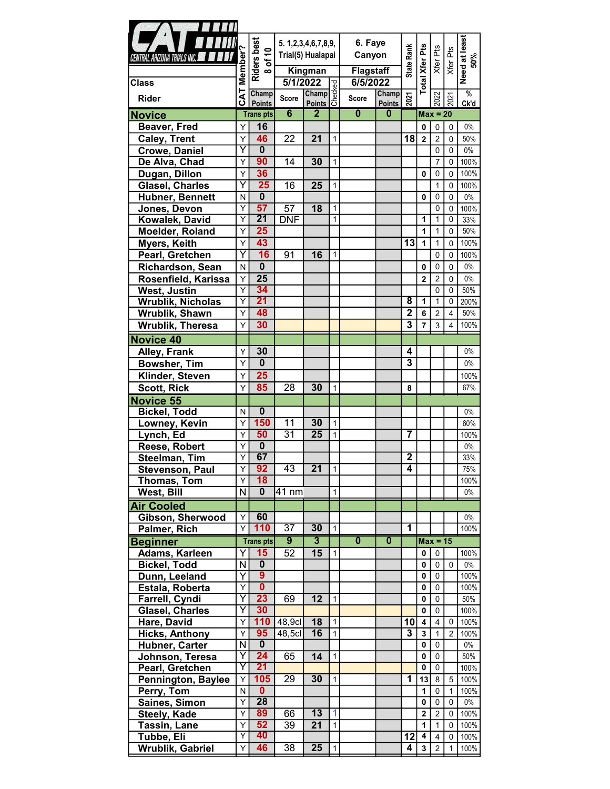| $\blacksquare$                           |                              |                                           |                            |                         |                |                         |                         |                             |                         |                            |                      |                      |
|------------------------------------------|------------------------------|-------------------------------------------|----------------------------|-------------------------|----------------|-------------------------|-------------------------|-----------------------------|-------------------------|----------------------------|----------------------|----------------------|
|                                          |                              |                                           | 5. 1, 2, 3, 4, 6, 7, 8, 9, |                         |                | 6. Faye                 |                         |                             |                         |                            |                      |                      |
| CENTRAL ARIZONA TRIALS INC.              |                              |                                           | Trial(5) Hualapai          |                         |                | Canyon                  |                         |                             |                         |                            |                      |                      |
|                                          |                              |                                           |                            |                         |                |                         |                         | State Rank                  |                         |                            | Xfer Pts<br>Xfer Pts |                      |
|                                          | Member <sup>®</sup>          | Riders best<br>8 of 10                    |                            | Kingman                 |                | <b>Flagstaff</b>        |                         |                             |                         |                            |                      | Need at least<br>50% |
| <b>Class</b>                             |                              |                                           | 5/1/2022                   |                         |                | 6/5/2022                |                         |                             | <b>Total Xfer Pts</b>   |                            |                      | $\frac{0}{6}$        |
| <b>Rider</b>                             | <b>CAT</b>                   | Champ<br><b>Points</b>                    | <b>Score</b>               | 2022<br>Champ<br>Points |                | <b>Score</b>            | Champ<br><b>Points</b>  | 2021                        |                         | 2022                       | 2021                 | Ck'd                 |
| <b>Novice</b>                            |                              | <b>Transpts</b>                           | $6\overline{6}$            | $\mathbf{2}$            |                | $\mathbf{0}$            | $\bf{0}$                |                             |                         | $Max = 20$                 |                      |                      |
| Beaver, Fred                             | Y                            | 16                                        |                            |                         |                |                         |                         |                             | 0                       | $\pmb{0}$                  | $\mathbf 0$          | 0%                   |
| <b>Caley, Trent</b>                      | Υ                            | 46                                        | 22                         | 21                      | $\mathbf{1}$   |                         |                         | 18                          | $\boldsymbol{2}$        | $\sqrt{2}$                 | $\mathbf 0$          | 50%                  |
| <b>Crowe, Daniel</b>                     | Y                            | $\overline{\mathbf{0}}$                   |                            |                         |                |                         |                         |                             |                         | $\mathbf 0$                | $\mathbf 0$          | $0\%$                |
| De Alva, Chad                            | $\overline{Y}$               | 90                                        | 14                         | 30                      | $\mathbf{1}$   |                         |                         |                             |                         | $\overline{7}$             | 0                    | 100%                 |
| Dugan, Dillon                            | Υ                            | 36                                        |                            |                         |                |                         |                         |                             | 0                       | 0                          | 0                    | 100%                 |
| <b>Glasel, Charles</b>                   | Ÿ                            | 25                                        | 16                         | 25                      | $\mathbf{1}$   |                         |                         |                             |                         | $\mathbf{1}$               | $\mathbf 0$          | 100%                 |
| Hubner, Bennett                          | N                            | $\overline{\mathbf{0}}$                   |                            |                         |                |                         |                         |                             | 0                       | 0                          | 0                    | $0\%$                |
| Jones, Devon                             | Υ                            | 57                                        | 57                         | 18                      | $\mathbf{1}$   |                         |                         |                             |                         | 0                          | $\mathbf 0$          | 100%                 |
| Kowalek, David                           | Y                            | $\overline{21}$                           | <b>DNF</b>                 |                         | $\mathbf{1}$   |                         |                         |                             | 1                       | 1                          | 0                    | 33%                  |
| Moelder, Roland                          | Υ                            | 25                                        |                            |                         |                |                         |                         |                             | 1                       | $\mathbf{1}$               | 0                    | 50%                  |
| Myers, Keith                             | Υ                            | 43                                        |                            |                         |                |                         |                         | 13                          | $\mathbf{1}$            | $\mathbf{1}$               | $\mathbf 0$          | 100%                 |
| Pearl, Gretchen                          | Y                            | 16                                        | 91                         | 16                      | $\mathbf{1}$   |                         |                         |                             |                         | $\mathbf 0$                | $\mathbf 0$          | 100%                 |
| Richardson, Sean                         | N                            | $\mathbf 0$                               |                            |                         |                |                         |                         |                             | 0                       | $\mathbf 0$                | $\mathbf 0$          | $0\%$                |
| Rosenfield, Karissa                      | Υ                            | $\overline{25}$                           |                            |                         |                |                         |                         |                             | $\mathbf 2$             | $\overline{2}$             | $\mathbf 0$          | $0\%$                |
| <b>West, Justin</b>                      | $\overline{Y}$               | 34                                        |                            |                         |                |                         |                         |                             |                         | $\mathbf 0$                | $\mathbf 0$          | 50%                  |
| Wrublik, Nicholas                        | $\overline{Y}$               | 21                                        |                            |                         |                |                         |                         | $\overline{\mathbf{8}}$     | 1                       | $\mathbf{1}$               | 0                    | 200%                 |
| Wrublik, Shawn                           | Y                            | 48                                        |                            |                         |                |                         |                         | $\mathbf 2$                 | 6                       | $\overline{2}$             | 4                    | 50%                  |
| Wrublik, Theresa                         | Y                            | 30                                        |                            |                         |                |                         |                         | 3                           | 7                       | 3                          | 4                    | 100%                 |
| Novice 40                                |                              |                                           |                            |                         |                |                         |                         |                             |                         |                            |                      |                      |
| Alley, Frank                             | Υ                            | 30                                        |                            |                         |                |                         |                         | $\overline{\mathbf{4}}$     |                         |                            |                      | $0\%$                |
| <b>Bowsher, Tim</b>                      | Υ                            | $\overline{\mathbf{0}}$                   |                            |                         |                |                         |                         | $\overline{\boldsymbol{3}}$ |                         |                            |                      | $0\%$                |
| Klinder, Steven                          | Υ                            | 25                                        |                            |                         |                |                         |                         |                             |                         |                            |                      | 100%                 |
| <b>Scott, Rick</b>                       | Y                            | 85                                        | 28                         | 30                      | $\mathbf{1}$   |                         |                         | 8                           |                         |                            |                      | 67%                  |
| Novice 55                                |                              |                                           |                            |                         |                |                         |                         |                             |                         |                            |                      |                      |
| <b>Bickel, Todd</b>                      | N                            | $\mathbf 0$                               |                            |                         |                |                         |                         |                             |                         |                            |                      | $0\%$                |
| Lowney, Kevin                            | $\overline{Y}$               | 150                                       | $\overline{11}$            | 30                      | $\mathbf{1}$   |                         |                         |                             |                         |                            |                      | 60%                  |
| Lynch, Ed                                | Υ                            | 50                                        | $\overline{31}$            | $\overline{25}$         | $\mathbf{1}$   |                         |                         | $\overline{7}$              |                         |                            |                      | 100%                 |
| Reese, Robert                            | $\overline{Y}$               | $\overline{\mathbf{0}}$                   |                            |                         |                |                         |                         |                             |                         |                            |                      | $0\%$                |
| Steelman, Tim                            | Υ                            | 67                                        |                            |                         |                |                         |                         | $\overline{2}$              |                         |                            |                      | 33%                  |
| <b>Stevenson, Paul</b>                   | Y.                           | 92                                        | 43                         | 21                      | $\vert$ 1      |                         |                         | $\overline{4}$              |                         |                            |                      | 75%                  |
| Thomas, Tom                              | Υ                            | 18                                        |                            |                         |                |                         |                         |                             |                         |                            |                      | 100%                 |
| West, Bill                               | N                            | $\mathbf 0$                               | 41 nm                      |                         | $\mathbf{1}$   |                         |                         |                             |                         |                            |                      | $0\%$                |
| <b>Air Cooled</b>                        |                              |                                           |                            |                         |                |                         |                         |                             |                         |                            |                      |                      |
| Gibson, Sherwood                         | Y                            | 60                                        |                            |                         |                |                         |                         |                             |                         |                            |                      | $0\%$                |
| Palmer, Rich                             | Y                            | 110                                       | $\overline{37}$            | 30                      | $\mathbf{1}$   |                         |                         | 1                           |                         |                            |                      | 100%                 |
| <b>Beginner</b>                          |                              | <b>Transpts</b>                           | $\overline{9}$             | $\overline{3}$          |                | $\overline{\mathbf{0}}$ | $\overline{\mathbf{0}}$ |                             |                         | $Max = 15$                 |                      |                      |
| Adams, Karleen                           | Y١                           | 15                                        | 52                         | 15                      | $\mathbf{1}$   |                         |                         |                             | 0                       | $\mathbf{0}$               |                      | 100%                 |
| <b>Bickel, Todd</b>                      | $\overline{\mathsf{N}}$      | $\overline{\mathbf{0}}$<br>$\overline{9}$ |                            |                         |                |                         |                         |                             | 0                       | $\mathbf 0$                | $\Omega$             | $0\%$                |
| Dunn, Leeland                            | $\overline{\mathsf{Y}}$<br>Y | $\overline{\mathbf{0}}$                   |                            |                         |                |                         |                         |                             | 0                       | $\mathbf 0$                |                      | 100%                 |
| Estala, Roberta                          | $\overline{\mathsf{Y}}$      | 23                                        | 69                         | 12                      |                |                         |                         |                             | 0                       | 0                          |                      | 100%                 |
| Farrell, Cyndi<br><b>Glasel, Charles</b> | Y                            | 30                                        |                            |                         | $\vert$ 1      |                         |                         |                             | 0<br>$\mathbf 0$        | $\mathbf 0$<br>$\mathbf 0$ |                      | 50%<br>100%          |
| Hare, David                              | Y                            |                                           | $110$ 48,9cl               | 18                      | $\mathbf{1}$   |                         |                         | 10                          | $\overline{\mathbf{4}}$ | 4                          | 0                    | 100%                 |
| <b>Hicks, Anthony</b>                    | Υ                            | 95                                        | 48,5c                      | 16                      | $\mathbf{1}$   |                         |                         | $\overline{3}$              | $\mathbf{3}$            | $\mathbf{1}$               | $\overline{2}$       | 100%                 |
| Hubner, Carter                           | $\overline{\mathsf{N}}$      | $\mathbf 0$                               |                            |                         |                |                         |                         |                             | $\pmb{0}$               | $\mathbf 0$                |                      | $0\%$                |
| Johnson, Teresa                          | Y                            | 24                                        | 65                         | 14                      | $\mathbf{1}$   |                         |                         |                             | 0                       | $\mathbf 0$                |                      | 50%                  |
| Pearl, Gretchen                          | Y                            | 21                                        |                            |                         |                |                         |                         |                             | $\pmb{0}$               | $\mathbf 0$                |                      | 100%                 |
| <b>Pennington, Baylee</b>                | $\overline{Y}$               | 105                                       | $\overline{29}$            | 30                      | $\overline{1}$ |                         |                         | $\mathbf 1$                 | 13                      | 8                          | 5                    | 100%                 |
| Perry, Tom                               | N                            | $\overline{\mathbf{0}}$                   |                            |                         |                |                         |                         |                             | $\mathbf{1}$            | 0                          | $\mathbf{1}$         | 100%                 |
| Saines, Simon                            | Y                            | 28                                        |                            |                         |                |                         |                         |                             | 0                       | $\mathbf 0$                | $\mathbf{0}$         | $0\%$                |
| Steely, Kade                             | Y                            | 89                                        | 66                         | 13                      | 1              |                         |                         |                             | $\overline{\mathbf{2}}$ | $\overline{2}$             | 0                    | 100%                 |
| Tassin, Lane                             | Y                            | 52                                        | 39                         | 21                      | $\mathbf{1}$   |                         |                         |                             | 1                       | $\mathbf{1}$               | 0                    | 100%                 |
| Tubbe, Eli                               | $\overline{Y}$               | 40                                        |                            |                         |                |                         |                         | 12                          | 4                       | 4                          | 0                    | 100%                 |
| Wrublik, Gabriel                         | Υ                            | 46                                        | $\overline{38}$            | $\overline{25}$         | $\vert$ 1      |                         |                         | 4                           | $\mathbf{3}$            | 2                          | $\mathbf{1}$         | 100%                 |
|                                          |                              |                                           |                            |                         |                |                         |                         |                             |                         |                            |                      |                      |